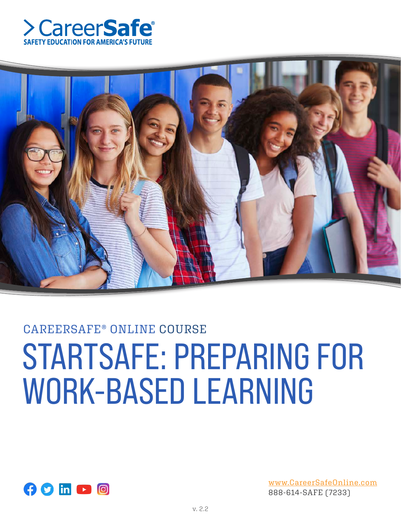



# CAREERSAFE® ONLINE COURSE STARTSAFE: PREPARING FOR WORK-BASED LEARNING



www.CareerSafeOnline.com 888-614-SAFE (7233)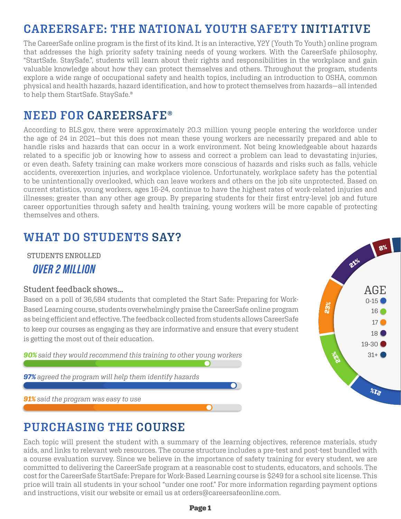# **CAREERSAFE: THE NATIONAL YOUTH SAFETY INITIATIVE**

The CareerSafe online program is the first of its kind. It is an interactive, Y2Y (Youth To Youth) online program that addresses the high priority safety training needs of young workers. With the CareerSafe philosophy, "StartSafe. StaySafe.", students will learn about their rights and responsibilities in the workplace and gain valuable knowledge about how they can protect themselves and others. Throughout the program, students explore a wide range of occupational safety and health topics, including an introduction to OSHA, common physical and health hazards, hazard identification, and how to protect themselves from hazards—all intended to help them StartSafe. StaySafe.®

## **NEED FOR CAREERSAFE®**

According to BLS.gov, there were approximately 20.3 million young people entering the workforce under the age of 24 in 2021—but this does not mean these young workers are necessarily prepared and able to handle risks and hazards that can occur in a work environment. Not being knowledgeable about hazards related to a specific job or knowing how to assess and correct a problem can lead to devastating injuries, or even death. Safety training can make workers more conscious of hazards and risks such as falls, vehicle accidents, overexertion injuries, and workplace violence. Unfortunately, workplace safety has the potential to be unintentionally overlooked, which can leave workers and others on the job site unprotected. Based on current statistics, young workers, ages 16-24, continue to have the highest rates of work-related injuries and illnesses; greater than any other age group. By preparing students for their first entry-level job and future career opportunities through safety and health training, young workers will be more capable of protecting themselves and others.

## **WHAT DO STUDENTS SAY?**

STUDENTS ENROLLED

## *OVER 2 MILLION*

#### Student feedback shows...

Based on a poll of 36,584 students that completed the Start Safe: Preparing for Work-Based Learning course, students overwhelmingly praise the CareerSafe online program as being efficient and effective. The feedback collected from students allows CareerSafe to keep our courses as engaging as they are informative and ensure that every student is getting the most out of their education.

*90% said they would recommend this training to other young workers*

*97% agreed the program will help them identify hazards*

*91% said the program was easy to use*

## **PURCHASING THE COURSE**

Each topic will present the student with a summary of the learning objectives, reference materials, study aids, and links to relevant web resources. The course structure includes a pre-test and post-test bundled with a course evaluation survey. Since we believe in the importance of safety training for every student, we are committed to delivering the CareerSafe program at a reasonable cost to students, educators, and schools. The cost for the CareerSafe StartSafe: Prepare for Work-Based Learning course is \$249 for a school site license. This price will train all students in your school "under one roof." For more information regarding payment options and instructions, visit our website or email us at orders@careersafeonline.com.



#### Page 1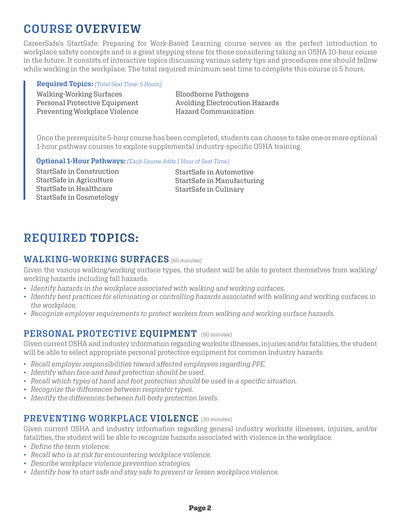# **COURSE OVERVIEW**

CareerSafe's StartSafe: Preparing for Work-Based Learning course serves as the perfect introduction to workplace safety concepts and is a great stepping stone for those considering taking an OSHA 10-hour course in the future. It consists of interactive topics discussing various safety tips and procedures one should follow while working in the workplace. The total required minimum seat time to complete this course is 5 hours.

#### **Required Topics:** *(Total Seat Time: 5 Hours)*

Walking-Working Surfaces Personal Protective Equipment Preventing Workplace Violence

Bloodborne Pathogens Avoiding Electrocution Hazards Hazard Communication

Once the prerequisite 5-hour course has been completed, students can choose to take one or more optional 1-hour pathway courses to explore supplemental industry-specific OSHA training.

#### **Optional 1-Hour Pathways:** *(Each Course Adds 1 Hour of Seat Time)*

StartSafe in Construction StartSafe in Agriculture StartSafe in Healthcare StartSafe in Cosmetology

StartSafe in Automotive StartSafe in Manufacturing StartSafe in Culinary

# **REQUIRED TOPICS:**

#### **WALKING-WORKING SURFACES** (60 minutes)

Given the various walking/working surface types, the student will be able to protect themselves from walking/ working hazards including fall hazards.

- *Identify hazards in the workplace associated with walking and working surfaces.*
- *Identify best practices for eliminating or controlling hazards associated with walking and working surfaces in the workplace.*
- *Recognize employer requirements to protect workers from walking and working surface hazards.*

## **PERSONAL PROTECTIVE EQUIPMENT** (60 minutes)

Given current OSHA and industry information regarding worksite illnesses, injuries and/or fatalities, the student will be able to select appropriate personal protective equipment for common industry hazards

- *Recall employer responsibilities toward affected employees regarding PPE.*
- *Identify when face and head protection should be used.*
- *Recall which types of hand and foot protection should be used in a specific situation.*
- *Recognize the differences between respirator types.*
- *Identify the differences between full-body protection levels.*

## **PREVENTING WORKPLACE VIOLENCE** (30 minutes)

Given current OSHA and industry information regarding general industry worksite illnesses, injuries, and/or fatalities, the student will be able to recognize hazards associated with violence in the workplace.

- *Define the term violence.*
- *Recall who is at risk for encountering workplace violence.*
- *Describe workplace violence prevention strategies.*
- *Identify how to start safe and stay safe to prevent or lessen workplace violence.*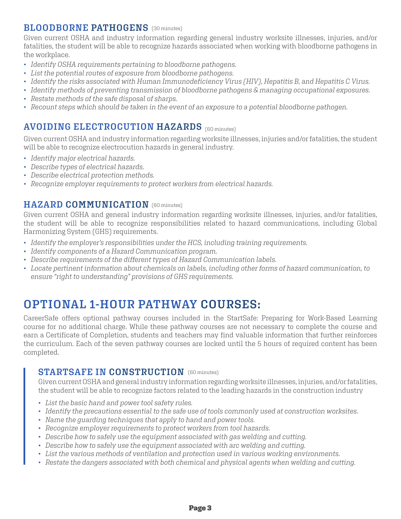## **BLOODBORNE PATHOGENS** (30 minutes)

Given current OSHA and industry information regarding general industry worksite illnesses, injuries, and/or fatalities, the student will be able to recognize hazards associated when working with bloodborne pathogens in the workplace.

- *Identify OSHA requirements pertaining to bloodborne pathogens.*
- *List the potential routes of exposure from bloodborne pathogens.*
- *Identify the risks associated with Human Immunodeficiency Virus (HIV), Hepatitis B, and Hepatitis C Virus.*
- *Identify methods of preventing transmission of bloodborne pathogens & managing occupational exposures.*
- *Restate methods of the safe disposal of sharps.*
- *Recount steps which should be taken in the event of an exposure to a potential bloodborne pathogen.*

## **AVOIDING ELECTROCUTION HAZARDS** (60 minutes)

Given current OSHA and industry information regarding worksite illnesses, injuries and/or fatalities, the student will be able to recognize electrocution hazards in general industry.

- *Identify major electrical hazards.*
- *Describe types of electrical hazards.*
- *Describe electrical protection methods.*
- *Recognize employer requirements to protect workers from electrical hazards.*

#### **HAZARD COMMUNICATION** (60 minutes)

Given current OSHA and general industry information regarding worksite illnesses, injuries, and/or fatalities, the student will be able to recognize responsibilities related to hazard communications, including Global Harmonizing System (GHS) requirements.

- *Identify the employer's responsibilities under the HCS, including training requirements.*
- *Identify components of a Hazard Communication program.*
- *Describe requirements of the different types of Hazard Communication labels.*
- *Locate pertinent information about chemicals on labels, including other forms of hazard communication, to ensure "right to understanding" provisions of GHS requirements.*

## **OPTIONAL 1-HOUR PATHWAY COURSES:**

CareerSafe offers optional pathway courses included in the StartSafe: Preparing for Work-Based Learning course for no additional charge. While these pathway courses are not necessary to complete the course and earn a Certificate of Completion, students and teachers may find valuable information that further reinforces the curriculum. Each of the seven pathway courses are locked until the 5 hours of required content has been completed.

## $$

Given current OSHA and general industry information regarding worksite illnesses, injuries, and/or fatalities, the student will be able to recognize factors related to the leading hazards in the construction industry

- *List the basic hand and power tool safety rules.*
- *Identify the precautions essential to the safe use of tools commonly used at construction worksites.*
- *Name the guarding techniques that apply to hand and power tools.*
- *Recognize employer requirements to protect workers from tool hazards.*
- *Describe how to safely use the equipment associated with gas welding and cutting.*
- *Describe how to safely use the equipment associated with arc welding and cutting.*
- *List the various methods of ventilation and protection used in various working environments.*
- *Restate the dangers associated with both chemical and physical agents when welding and cutting.*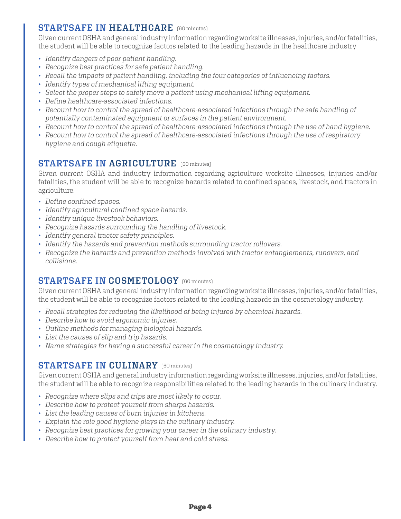## **STARTSAFE IN HEALTHCARE** (60 minutes)

Given current OSHA and general industry information regarding worksite illnesses, injuries, and/or fatalities, the student will be able to recognize factors related to the leading hazards in the healthcare industry

- *Identify dangers of poor patient handling.*
- *Recognize best practices for safe patient handling.*
- *Recall the impacts of patient handling, including the four categories of influencing factors.*
- *Identify types of mechanical lifting equipment.*
- *Select the proper steps to safely move a patient using mechanical lifting equipment.*
- *Define healthcare-associated infections.*
- *Recount how to control the spread of healthcare-associated infections through the safe handling of potentially contaminated equipment or surfaces in the patient environment.*
- *Recount how to control the spread of healthcare-associated infections through the use of hand hygiene.*
- *Recount how to control the spread of healthcare-associated infections through the use of respiratory hygiene and cough etiquette.*

## **STARTSAFE IN AGRICULTURE** (60 minutes)

Given current OSHA and industry information regarding agriculture worksite illnesses, injuries and/or fatalities, the student will be able to recognize hazards related to confined spaces, livestock, and tractors in agriculture.

- *Define confined spaces.*
- *Identify agricultural confined space hazards.*
- *Identify unique livestock behaviors.*
- *Recognize hazards surrounding the handling of livestock.*
- *Identify general tractor safety principles.*
- *Identify the hazards and prevention methods surrounding tractor rollovers.*
- *Recognize the hazards and prevention methods involved with tractor entanglements, runovers, and collisions.*

#### **STARTSAFE IN COSMETOLOGY** (60 minutes)

Given current OSHA and general industry information regarding worksite illnesses, injuries, and/or fatalities, the student will be able to recognize factors related to the leading hazards in the cosmetology industry.

- *Recall strategies for reducing the likelihood of being injured by chemical hazards.*
- *Describe how to avoid ergonomic injuries.*
- *Outline methods for managing biological hazards.*
- *List the causes of slip and trip hazards.*
- *Name strategies for having a successful career in the cosmetology industry.*

## **STARTSAFE IN CULINARY** (60 minutes)

Given current OSHA and general industry information regarding worksite illnesses, injuries, and/or fatalities, the student will be able to recognize responsibilities related to the leading hazards in the culinary industry.

- *Recognize where slips and trips are most likely to occur.*
- *Describe how to protect yourself from sharps hazards.*
- *List the leading causes of burn injuries in kitchens.*
- *Explain the role good hygiene plays in the culinary industry.*
- *Recognize best practices for growing your career in the culinary industry.*
- *Describe how to protect yourself from heat and cold stress.*